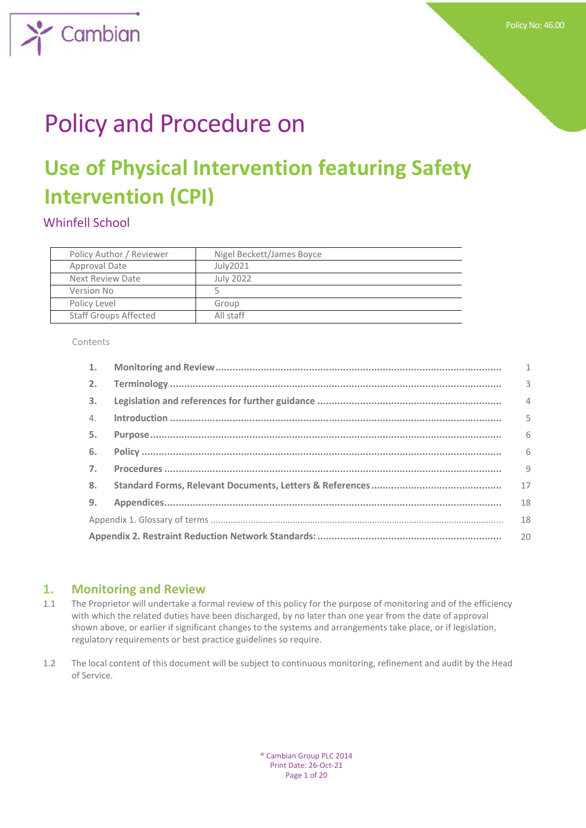

# Policy and Procedure on

## **Use of Physical Intervention featuring Safety Intervention (CPI)**

## Whinfell School

| Policy Author / Reviewer     | Nigel Beckett/James Boyce |
|------------------------------|---------------------------|
| Approval Date                | July2021                  |
| Next Review Date             | <b>July 2022</b>          |
| Version No                   |                           |
| Policy Level                 | Group                     |
| <b>Staff Groups Affected</b> | All staff                 |

Contents

| $\mathbf{1}$ .   |  | $\mathbf{1}$   |
|------------------|--|----------------|
| 2.               |  | 3              |
| 3.               |  | $\overline{4}$ |
| $\mathcal{A}$ .  |  | 5              |
| 5.               |  | 6              |
| 6.               |  | 6              |
| $\overline{7}$ . |  | 9              |
| 8.               |  | 17             |
| 9.               |  | 18             |
|                  |  | 18             |
| 20               |  |                |

## **1. Monitoring and Review**

- 1.1 The Proprietor will undertake a formal review of this policy for the purpose of monitoring and of the efficiency with which the related duties have been discharged, by no later than one year from the date of approval shown above, or earlier if significant changes to the systems and arrangements take place, or if legislation, regulatory requirements or best practice guidelines so require.
- 1.2 The local content of this document will be subject to continuous monitoring, refinement and audit by the Head of Service.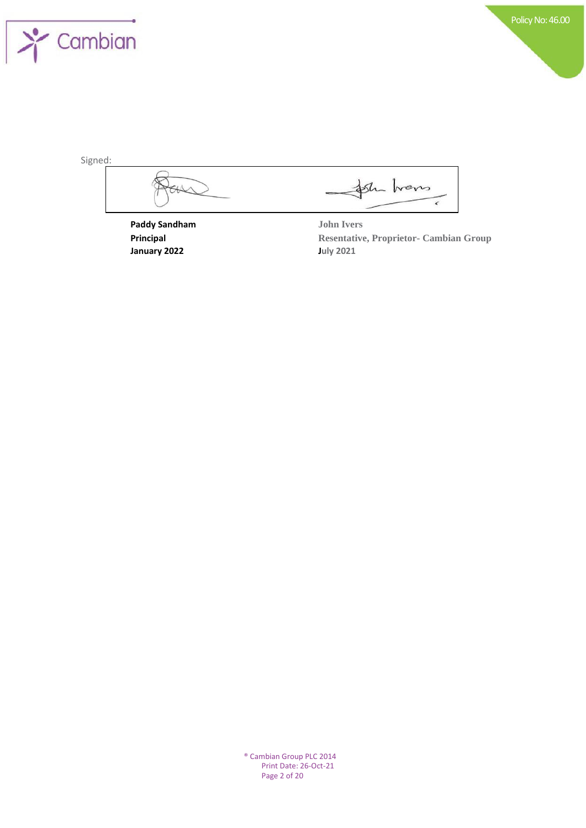

| Signed:              |                   |
|----------------------|-------------------|
|                      |                   |
| <b>Paddy Sandham</b> | <b>John Ivers</b> |

**January 2022 July 2021**

**Principal Resentative, Proprietor- Cambian Group**

® Cambian Group PLC 2014 Print Date: 26-Oct-21 Page 2 of 20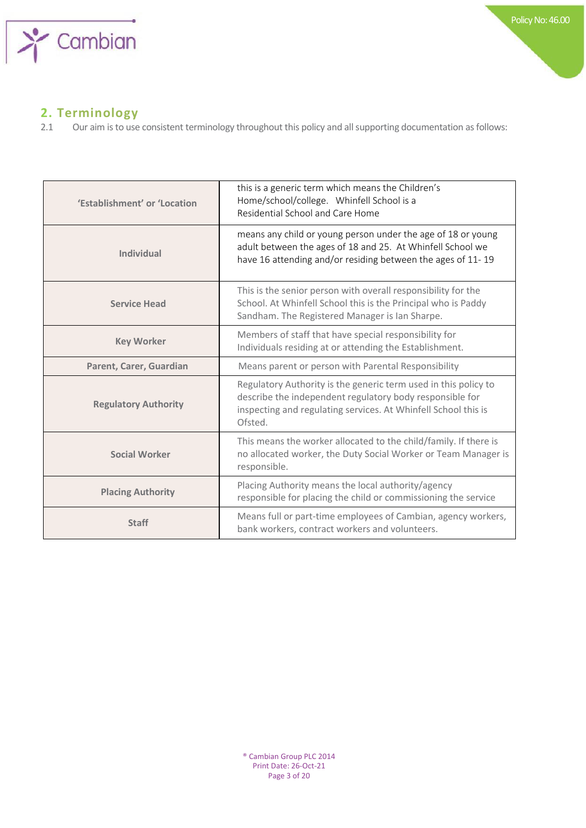

## **2. Terminology**

2.1 Our aim is to use consistent terminology throughout this policy and all supporting documentation as follows:

| 'Establishment' or 'Location | this is a generic term which means the Children's<br>Home/school/college. Whinfell School is a<br>Residential School and Care Home                                                                       |
|------------------------------|----------------------------------------------------------------------------------------------------------------------------------------------------------------------------------------------------------|
| <b>Individual</b>            | means any child or young person under the age of 18 or young<br>adult between the ages of 18 and 25. At Whinfell School we<br>have 16 attending and/or residing between the ages of 11-19                |
| <b>Service Head</b>          | This is the senior person with overall responsibility for the<br>School. At Whinfell School this is the Principal who is Paddy<br>Sandham. The Registered Manager is Ian Sharpe.                         |
| <b>Key Worker</b>            | Members of staff that have special responsibility for<br>Individuals residing at or attending the Establishment.                                                                                         |
| Parent, Carer, Guardian      | Means parent or person with Parental Responsibility                                                                                                                                                      |
| <b>Regulatory Authority</b>  | Regulatory Authority is the generic term used in this policy to<br>describe the independent regulatory body responsible for<br>inspecting and regulating services. At Whinfell School this is<br>Ofsted. |
| <b>Social Worker</b>         | This means the worker allocated to the child/family. If there is<br>no allocated worker, the Duty Social Worker or Team Manager is<br>responsible.                                                       |
| <b>Placing Authority</b>     | Placing Authority means the local authority/agency<br>responsible for placing the child or commissioning the service                                                                                     |
| <b>Staff</b>                 | Means full or part-time employees of Cambian, agency workers,<br>bank workers, contract workers and volunteers.                                                                                          |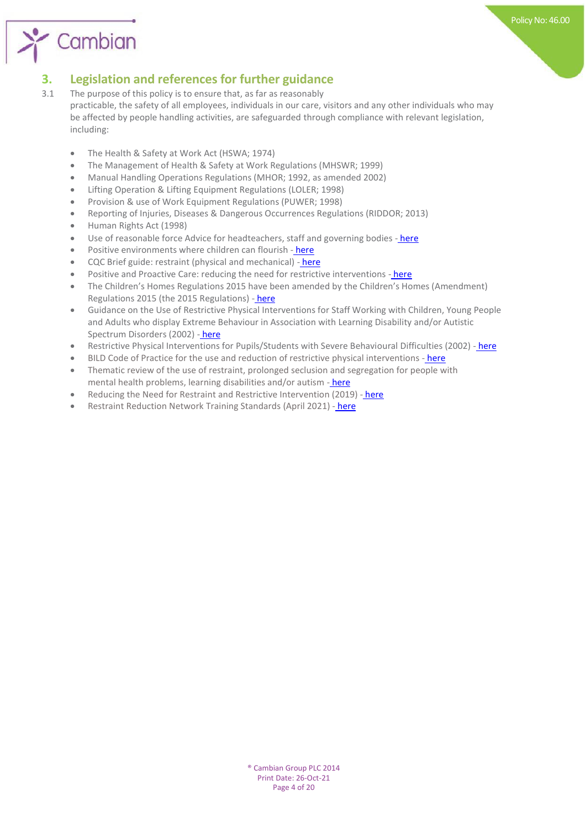

## **3. Legislation and references for further guidance**<br>**3.1** The purpose of this policy is to ensure that, as far as reasonably

- The purpose of this policy is to ensure that, as far as reasonably practicable, the safety of all employees, individuals in our care, visitors and any other individuals who may be affected by people handling activities, are safeguarded through compliance with relevant legislation, including:
	- The Health & Safety at Work Act (HSWA; 1974)
	- The Management of Health & Safety at Work Regulations (MHSWR; 1999)
	- Manual Handling Operations Regulations (MHOR; 1992, as amended 2002)
	- Lifting Operation & Lifting Equipment Regulations (LOLER; 1998)
	- Provision & use of Work Equipment Regulations (PUWER; 1998)
	- Reporting of Injuries, Diseases & Dangerous Occurrences Regulations (RIDDOR; 2013)
	- Human Rights Act (1998)

Cambian

- Use of reasonable force Advice for headteachers, staff and governing bodies [here](https://assets.publishing.service.gov.uk/government/uploads/system/uploads/attachment_data/file/444051/Use_of_reasonable_force_advice_Reviewed_July_2015.pdf)
- Positive environments w[here](https://assets.publishing.service.gov.uk/government/uploads/system/uploads/attachment_data/file/693446/Environments_where_children_can_flourish.pdf) children can flourish here
- CQC Brief guide: restraint (physical and mechanical) [here](https://www.cqc.org.uk/sites/default/files/20180322_900803_briefguide-restraint_physical_mechanical_v1.pdf)
- Positive and Proactive Care: reducing the need for restrictive interventions [here](https://assets.publishing.service.gov.uk/government/uploads/system/uploads/attachment_data/file/300293/JRA_DoH_Guidance_on_RP_web_accessible.pdf)
- The Children's Homes Regulations 2015 have been amended by the Children's Homes (Amendment) Regulations 2015 (the 2015 Regulations) - [here](http://www.legislation.gov.uk/uksi/2015/541/contents/made)
- Guidance on the Use of Restrictive Physical Interventions for Staff Working with Children, Young People and Adults who display Extreme Behaviour in Association with Learning Disability and/or Autistic Spectrum Disorders (2002) - [here](http://dera.ioe.ac.uk/15434/1/guidance%20on%20the%20use%20of%20restrictive%20physical%20interventions.pdf)
- Restrictive Physical Interventions for Pupils/Students with Severe Behavioural Difficulties (2002) [here](http://dera.ioe.ac.uk/15433/1/guidance%20on%20the%20use%20of%20restrictive%20physical%20interventions%20for%20pupils%20with%20severe%20behavioural%20difficulties_2003.pdf)
- BILD Code of Practice for the use and reduction of restrictive physical interventions [here](http://www.bild.org.uk/our-services/books/positive-behaviour-support/bild-code-of-practice)
- Thematic review of the use of restraint, prolonged seclusion and segregation for people with mental health problems, learning disabilities and/or autism - [here](https://www.cqc.org.uk/sites/default/files/20181203_restraint-thematic_tor.pdf)
- Reducing the Need for Restraint and Restrictive Intervention (2019) [here](https://assets.publishing.service.gov.uk/government/uploads/system/uploads/attachment_data/file/812435/reducing-the-need-for-restraint-and-restrictive-intervention.pdf)
- Restraint Reduction Network Training Standards (April 2021) [-](https://restraintreductionnetwork.org/know-the-standard-2/) [here](https://restraintreductionnetwork.org/know-the-standard-2/)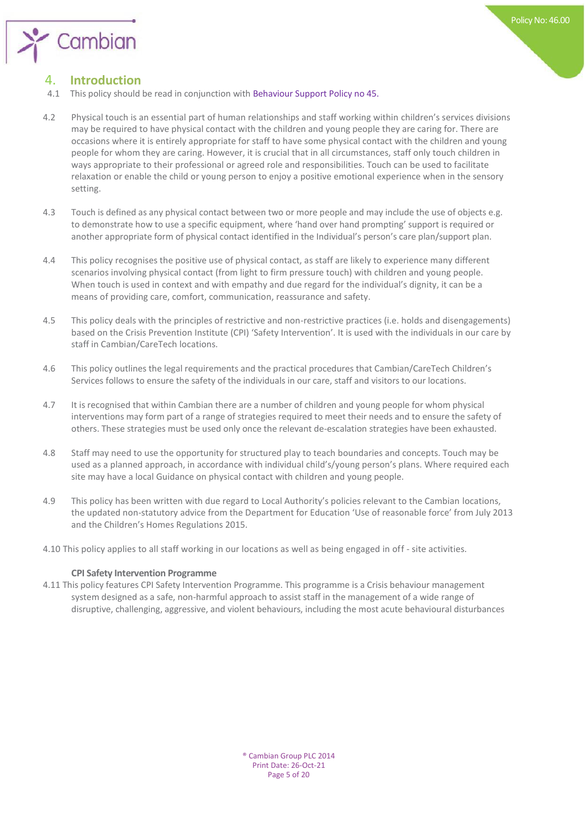

## 4. **Introduction**

- 4.1 This policy should be read in conjunction with Behaviour Support Policy no 45.
- 4.2 Physical touch is an essential part of human relationships and staff working within children's services divisions may be required to have physical contact with the children and young people they are caring for. There are occasions where it is entirely appropriate for staff to have some physical contact with the children and young people for whom they are caring. However, it is crucial that in all circumstances, staff only touch children in ways appropriate to their professional or agreed role and responsibilities. Touch can be used to facilitate relaxation or enable the child or young person to enjoy a positive emotional experience when in the sensory setting.
- 4.3 Touch is defined as any physical contact between two or more people and may include the use of objects e.g. to demonstrate how to use a specific equipment, where 'hand over hand prompting' support is required or another appropriate form of physical contact identified in the Individual's person's care plan/support plan.
- 4.4 This policy recognises the positive use of physical contact, as staff are likely to experience many different scenarios involving physical contact (from light to firm pressure touch) with children and young people. When touch is used in context and with empathy and due regard for the individual's dignity, it can be a means of providing care, comfort, communication, reassurance and safety.
- 4.5 This policy deals with the principles of restrictive and non-restrictive practices (i.e. holds and disengagements) based on the Crisis Prevention Institute (CPI) 'Safety Intervention'. It is used with the individuals in our care by staff in Cambian/CareTech locations.
- 4.6 This policy outlines the legal requirements and the practical procedures that Cambian/CareTech Children's Services follows to ensure the safety of the individuals in our care, staff and visitors to our locations.
- 4.7 It is recognised that within Cambian there are a number of children and young people for whom physical interventions may form part of a range of strategies required to meet their needs and to ensure the safety of others. These strategies must be used only once the relevant de-escalation strategies have been exhausted.
- 4.8 Staff may need to use the opportunity for structured play to teach boundaries and concepts. Touch may be used as a planned approach, in accordance with individual child's/young person's plans. Where required each site may have a local Guidance on physical contact with children and young people.
- 4.9 This policy has been written with due regard to Local Authority's policies relevant to the Cambian locations, the updated non-statutory advice from the Department for Education 'Use of reasonable force' from July 2013 and the Children's Homes Regulations 2015.
- 4.10 This policy applies to all staff working in our locations as well as being engaged in off site activities.

#### **CPI Safety Intervention Programme**

4.11 This policy features CPI Safety Intervention Programme. This programme is a Crisis behaviour management system designed as a safe, non-harmful approach to assist staff in the management of a wide range of disruptive, challenging, aggressive, and violent behaviours, including the most acute behavioural disturbances

> ® Cambian Group PLC 2014 Print Date: 26-Oct-21 Page 5 of 20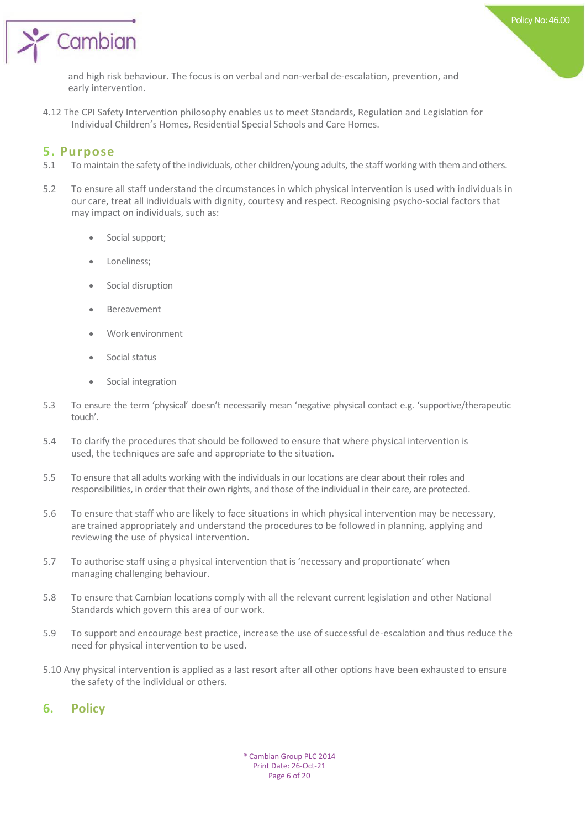

and high risk behaviour. The focus is on verbal and non-verbal de-escalation, prevention, and early intervention.

4.12 The CPI Safety Intervention philosophy enables us to meet Standards, Regulation and Legislation for Individual Children's Homes, Residential Special Schools and Care Homes.

### **5. Purpose**

- 5.1 To maintain the safety of the individuals, other children/young adults, the staff working with them and others.
- 5.2 To ensure all staff understand the circumstances in which physical intervention is used with individuals in our care, treat all individuals with dignity, courtesy and respect. Recognising psycho-social factors that may impact on individuals, such as:
	- Social support;
	- Loneliness;
	- Social disruption
	- Bereavement
	- Work environment
	- Social status
	- Social integration
- 5.3 To ensure the term 'physical' doesn't necessarily mean 'negative physical contact e.g. 'supportive/therapeutic touch'.
- 5.4 To clarify the procedures that should be followed to ensure that where physical intervention is used, the techniques are safe and appropriate to the situation.
- 5.5 To ensure that all adults working with the individuals in our locations are clear about their roles and responsibilities, in order that their own rights, and those of the individual in their care, are protected.
- 5.6 To ensure that staff who are likely to face situations in which physical intervention may be necessary, are trained appropriately and understand the procedures to be followed in planning, applying and reviewing the use of physical intervention.
- 5.7 To authorise staff using a physical intervention that is 'necessary and proportionate' when managing challenging behaviour.
- 5.8 To ensure that Cambian locations comply with all the relevant current legislation and other National Standards which govern this area of our work.
- 5.9 To support and encourage best practice, increase the use of successful de-escalation and thus reduce the need for physical intervention to be used.
- 5.10 Any physical intervention is applied as a last resort after all other options have been exhausted to ensure the safety of the individual or others.

## **6. Policy**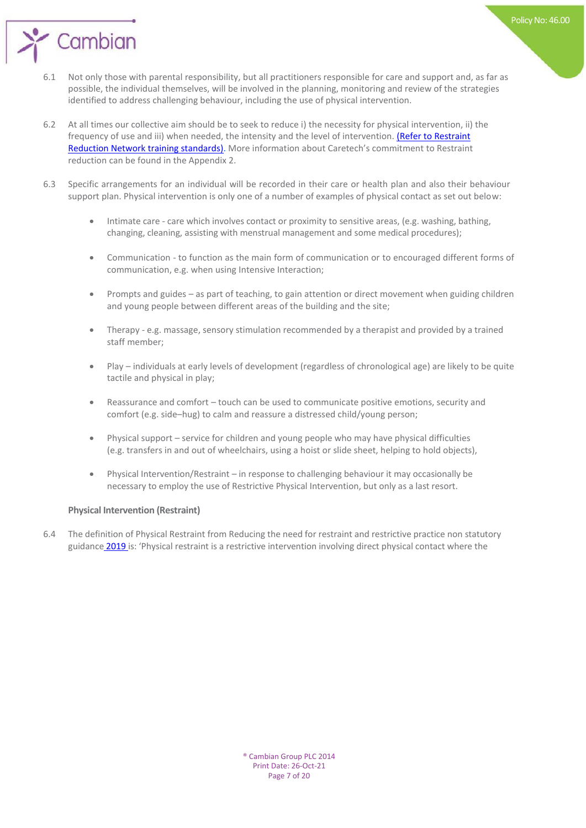

- 6.1 Not only those with parental responsibility, but all practitioners responsible for care and support and, as far as possible, the individual themselves, will be involved in the planning, monitoring and review of the strategies identified to address challenging behaviour, including the use of physical intervention.
- 6.2 At all times our collective aim should be to seek to reduce i) the necessity for physical intervention, ii[\) the](https://restraintreductionnetwork.org/know-the-standard/)  frequency of use and iii) when needed, the intensity and the level of intervention. [\(Refer to Restraint](https://restraintreductionnetwork.org/know-the-standard/) [Reduction Network training standards\).](https://restraintreductionnetwork.org/know-the-standard/) More information about Caretech's commitment to Restraint reduction can be found in the Appendix 2.
- 6.3 Specific arrangements for an individual will be recorded in their care or health plan and also their behaviour support plan. Physical intervention is only one of a number of examples of physical contact as set out below:
	- Intimate care care which involves contact or proximity to sensitive areas, (e.g. washing, bathing, changing, cleaning, assisting with menstrual management and some medical procedures);
	- Communication to function as the main form of communication or to encouraged different forms of communication, e.g. when using Intensive Interaction;
	- Prompts and guides as part of teaching, to gain attention or direct movement when guiding children and young people between different areas of the building and the site;
	- Therapy e.g. massage, sensory stimulation recommended by a therapist and provided by a trained staff member;
	- Play individuals at early levels of development (regardless of chronological age) are likely to be quite tactile and physical in play;
	- Reassurance and comfort touch can be used to communicate positive emotions, security and comfort (e.g. side–hug) to calm and reassure a distressed child/young person;
	- Physical support service for children and young people who may have physical difficulties (e.g. transfers in and out of wheelchairs, using a hoist or slide sheet, helping to hold objects),
	- Physical Intervention/Restraint in response to challenging behaviour it may occasionally be necessary to employ the use of Restrictive Physical Intervention, but only as a last resort.

#### **Physical Intervention (Restraint)**

6.4 The definition of Physical Restraint from Reducing the need for restraint and restrictive practice non statutory guidance [2019](https://assets.publishing.service.gov.uk/government/uploads/system/uploads/attachment_data/file/812435/reducing-the-need-for-restraint-and-restrictive-intervention.pdf) is: 'Physical restraint is a restrictive intervention involving direct physical contact where the

Policy No: 46.00

® Cambian Group PLC 2014 Print Date: 26-Oct-21 Page 7 of 20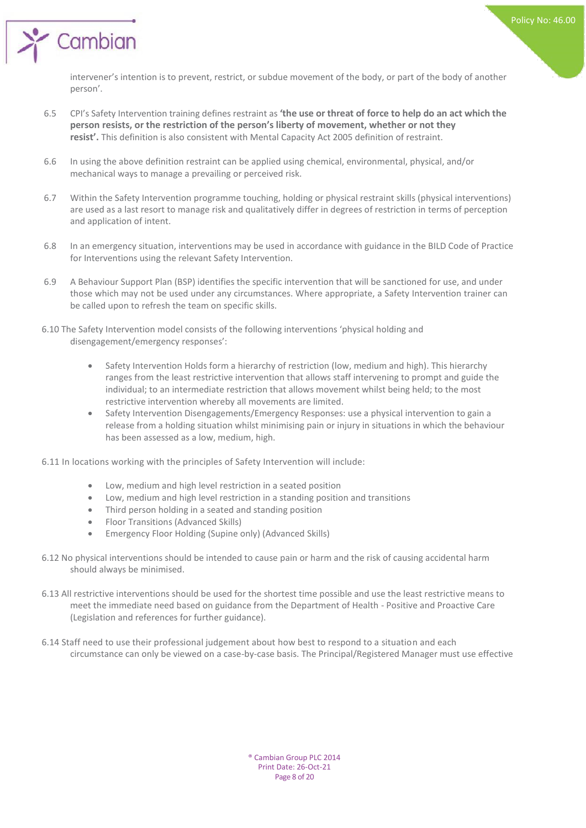' Cambian

intervener's intention is to prevent, restrict, or subdue movement of the body, or part of the body of another person'.

- 6.5 CPI's Safety Intervention training defines restraint as **'the use or threat of force to help do an act which the person resists, or the restriction of the person's liberty of movement, whether or not they resist'.** This definition is also consistent with Mental Capacity Act 2005 definition of restraint.
- 6.6 In using the above definition restraint can be applied using chemical, environmental, physical, and/or mechanical ways to manage a prevailing or perceived risk.
- 6.7 Within the Safety Intervention programme touching, holding or physical restraint skills (physical interventions) are used as a last resort to manage risk and qualitatively differ in degrees of restriction in terms of perception and application of intent.
- 6.8 In an emergency situation, interventions may be used in accordance with guidance in the BILD Code of Practice for Interventions using the relevant Safety Intervention.
- 6.9 A Behaviour Support Plan (BSP) identifies the specific intervention that will be sanctioned for use, and under those which may not be used under any circumstances. Where appropriate, a Safety Intervention trainer can be called upon to refresh the team on specific skills.
- 6.10 The Safety Intervention model consists of the following interventions 'physical holding and disengagement/emergency responses':
	- Safety Intervention Holds form a hierarchy of restriction (low, medium and high). This hierarchy ranges from the least restrictive intervention that allows staff intervening to prompt and guide the individual; to an intermediate restriction that allows movement whilst being held; to the most restrictive intervention whereby all movements are limited.
	- Safety Intervention Disengagements/Emergency Responses: use a physical intervention to gain a release from a holding situation whilst minimising pain or injury in situations in which the behaviour has been assessed as a low, medium, high.

6.11 In locations working with the principles of Safety Intervention will include:

- Low, medium and high level restriction in a seated position
- Low, medium and high level restriction in a standing position and transitions
- Third person holding in a seated and standing position
- Floor Transitions (Advanced Skills)
- Emergency Floor Holding (Supine only) (Advanced Skills)
- 6.12 No physical interventions should be intended to cause pain or harm and the risk of causing accidental harm should always be minimised.
- 6.13 All restrictive interventions should be used for the shortest time possible and use the least restrictive means to meet the immediate need based on guidance from the Department of Health - Positive and Proactive Care (Legislation and references for further guidance).
- 6.14 Staff need to use their professional judgement about how best to respond to a situation and each circumstance can only be viewed on a case-by-case basis. The Principal/Registered Manager must use effective

® Cambian Group PLC 2014 Print Date: 26-Oct-21 Page 8 of 20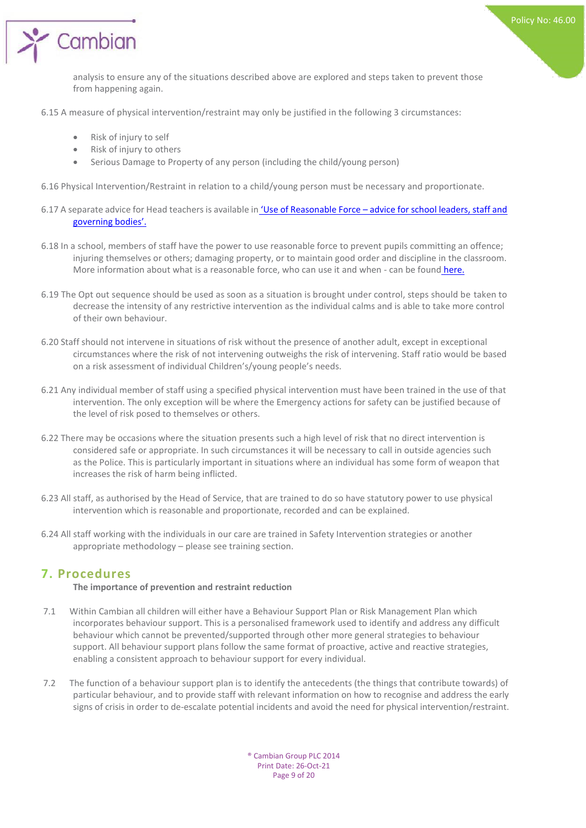Cambian

analysis to ensure any of the situations described above are explored and steps taken to prevent those from happening again.

6.15 A measure of physical intervention/restraint may only be justified in the following 3 circumstances:

- Risk of injury to self
- Risk of injury to others
- Serious Damage to Property of any person (including the child/young person)
- 6.16 Physical Intervention/Restraint in relation to a child/young person must be necessary and proportionate.
- 6.17 A separate advice for Head teachers is available in 'Use of Reasonable Force [advice for school leaders, staff and](https://assets.publishing.service.gov.uk/government/uploads/system/uploads/attachment_data/file/444051/Use_of_reasonable_force_advice_Reviewed_July_2015.pdf)  [governing bodies'.](https://assets.publishing.service.gov.uk/government/uploads/system/uploads/attachment_data/file/444051/Use_of_reasonable_force_advice_Reviewed_July_2015.pdf)
- 6.18 In a school, members of staff have the power to use reasonable force to prevent pupils committing an offence; injuring themselves or others; damaging property, or to maintain good order and discipline in the classroom. More information about what is a reasonable force, who can use it and when - can be found [here.](https://assets.publishing.service.gov.uk/government/uploads/system/uploads/attachment_data/file/444051/Use_of_reasonable_force_advice_Reviewed_July_2015.pdf)
- 6.19 The Opt out sequence should be used as soon as a situation is brought under control, steps should be taken to decrease the intensity of any restrictive intervention as the individual calms and is able to take more control of their own behaviour.
- 6.20 Staff should not intervene in situations of risk without the presence of another adult, except in exceptional circumstances where the risk of not intervening outweighs the risk of intervening. Staff ratio would be based on a risk assessment of individual Children's/young people's needs.
- 6.21 Any individual member of staff using a specified physical intervention must have been trained in the use of that intervention. The only exception will be where the Emergency actions for safety can be justified because of the level of risk posed to themselves or others.
- 6.22 There may be occasions where the situation presents such a high level of risk that no direct intervention is considered safe or appropriate. In such circumstances it will be necessary to call in outside agencies such as the Police. This is particularly important in situations where an individual has some form of weapon that increases the risk of harm being inflicted.
- 6.23 All staff, as authorised by the Head of Service, that are trained to do so have statutory power to use physical intervention which is reasonable and proportionate, recorded and can be explained.
- 6.24 All staff working with the individuals in our care are trained in Safety Intervention strategies or another appropriate methodology – please see training section.

### **7. Procedures**

#### **The importance of prevention and restraint reduction**

- 7.1 Within Cambian all children will either have a Behaviour Support Plan or Risk Management Plan which incorporates behaviour support. This is a personalised framework used to identify and address any difficult behaviour which cannot be prevented/supported through other more general strategies to behaviour support. All behaviour support plans follow the same format of proactive, active and reactive strategies, enabling a consistent approach to behaviour support for every individual.
- 7.2 The function of a behaviour support plan is to identify the antecedents (the things that contribute towards) of particular behaviour, and to provide staff with relevant information on how to recognise and address the early signs of crisis in order to de-escalate potential incidents and avoid the need for physical intervention/restraint.

® Cambian Group PLC 2014 Print Date: 26-Oct-21 Page 9 of 20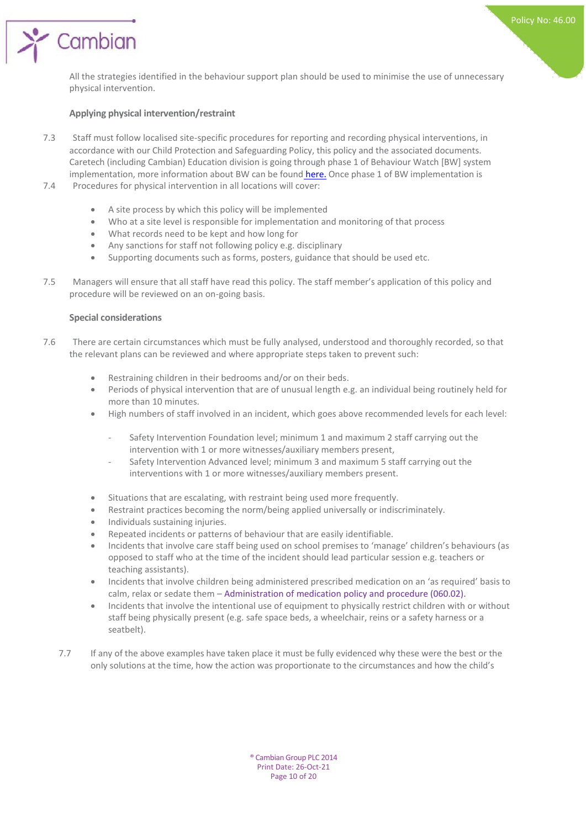All the strategies identified in the behaviour support plan should be used to minimise the use of unnecessary physical intervention.

#### **Applying physical intervention/restraint**

Cambian

- 7.3 Staff must follow localised site-specific procedures for reporting and recording physical interventions, in accordance with our Child Protection and Safeguarding Policy, this policy and the associated documents. Caretech (including Cambian) Education division is going through phase 1 of Behaviour Watch [BW] system implementation, more information about BW can be found [here.](https://eduspot.co.uk/product/behaviourwatch/) Once phase 1 of BW implementation is
- 7.4 Procedures for physical intervention in all locations will cover:
	- A site process by which this policy will be implemented
	- Who at a site level is responsible for implementation and monitoring of that process
	- What records need to be kept and how long for
	- Any sanctions for staff not following policy e.g. disciplinary
	- Supporting documents such as forms, posters, guidance that should be used etc.
- 7.5 Managers will ensure that all staff have read this policy. The staff member's application of this policy and procedure will be reviewed on an on-going basis.

#### **Special considerations**

- 7.6 There are certain circumstances which must be fully analysed, understood and thoroughly recorded, so that the relevant plans can be reviewed and where appropriate steps taken to prevent such:
	- Restraining children in their bedrooms and/or on their beds.
	- Periods of physical intervention that are of unusual length e.g. an individual being routinely held for more than 10 minutes.
	- High numbers of staff involved in an incident, which goes above recommended levels for each level:
		- Safety Intervention Foundation level; minimum 1 and maximum 2 staff carrying out the intervention with 1 or more witnesses/auxiliary members present,
		- Safety Intervention Advanced level; minimum 3 and maximum 5 staff carrying out the interventions with 1 or more witnesses/auxiliary members present.
	- Situations that are escalating, with restraint being used more frequently.
	- Restraint practices becoming the norm/being applied universally or indiscriminately.
	- Individuals sustaining injuries.
	- Repeated incidents or patterns of behaviour that are easily identifiable.
	- Incidents that involve care staff being used on school premises to 'manage' children's behaviours (as opposed to staff who at the time of the incident should lead particular session e.g. teachers or teaching assistants).
	- Incidents that involve children being administered prescribed medication on an 'as required' basis to calm, relax or sedate them – Administration of medication policy and procedure (060.02).
	- Incidents that involve the intentional use of equipment to physically restrict children with or without staff being physically present (e.g. safe space beds, a wheelchair, reins or a safety harness or a seatbelt).
	- 7.7 If any of the above examples have taken place it must be fully evidenced why these were the best or the only solutions at the time, how the action was proportionate to the circumstances and how the child's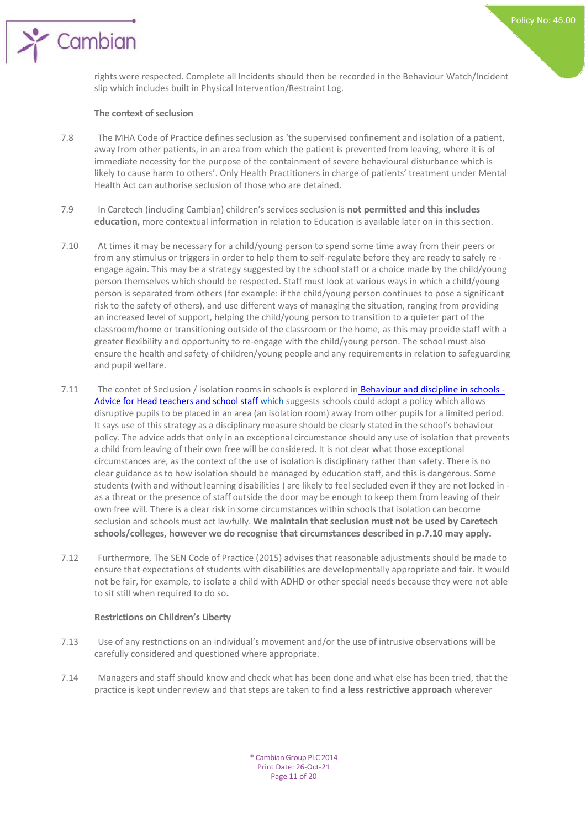rights were respected. Complete all Incidents should then be recorded in the Behaviour Watch/Incident slip which includes built in Physical Intervention/Restraint Log.

#### **The context of seclusion**

Cambian

- 7.8 The MHA Code of Practice defines seclusion as 'the supervised confinement and isolation of a patient, away from other patients, in an area from which the patient is prevented from leaving, where it is of immediate necessity for the purpose of the containment of severe behavioural disturbance which is likely to cause harm to others'. Only Health Practitioners in charge of patients' treatment under Mental Health Act can authorise seclusion of those who are detained.
- 7.9 In Caretech (including Cambian) children's services seclusion is **not permitted and this includes education,** more contextual information in relation to Education is available later on in this section.
- 7.10 At times it may be necessary for a child/young person to spend some time away from their peers or from any stimulus or triggers in order to help them to self-regulate before they are ready to safely re engage again. This may be a strategy suggested by the school staff or a choice made by the child/young person themselves which should be respected. Staff must look at various ways in which a child/young person is separated from others (for example: if the child/young person continues to pose a significant risk to the safety of others), and use different ways of managing the situation, ranging from providing an increased level of support, helping the child/young person to transition to a quieter part of the classroom/home or transitioning outside of the classroom or the home, as this may provide staff with a greater flexibility and opportunity to re-engage with the child/young person. The school must also ensure the health and safety of children/young people and any requirements in relation to safeguarding and pupil welfare.
- 7.11 The contet of Seclusion / isolation rooms in schools is explored in [Behaviour and discipline in schools -](https://assets.publishing.service.gov.uk/government/uploads/system/uploads/attachment_data/file/488034/Behaviour_and_Discipline_in_Schools_-_A_guide_for_headteachers_and_School_Staff.pdf) [Advice for Head teachers and school staff w](https://assets.publishing.service.gov.uk/government/uploads/system/uploads/attachment_data/file/488034/Behaviour_and_Discipline_in_Schools_-_A_guide_for_headteachers_and_School_Staff.pdf)hich suggests schools could adopt a policy which allows disruptive pupils to be placed in an area (an isolation room) away from other pupils for a limited period. It says use of this strategy as a disciplinary measure should be clearly stated in the school's behaviour policy. The advice adds that only in an exceptional circumstance should any use of isolation that prevents a child from leaving of their own free will be considered. It is not clear what those exceptional circumstances are, as the context of the use of isolation is disciplinary rather than safety. There is no clear guidance as to how isolation should be managed by education staff, and this is dangerous. Some students (with and without learning disabilities ) are likely to feel secluded even if they are not locked in as a threat or the presence of staff outside the door may be enough to keep them from leaving of their own free will. There is a clear risk in some circumstances within schools that isolation can become seclusion and schools must act lawfully. **We maintain that seclusion must not be used by Caretech schools/colleges, however we do recognise that circumstances described in p.7.10 may apply.**
- 7.12 Furthermore, The SEN Code of Practice (2015) advises that reasonable adjustments should be made to ensure that expectations of students with disabilities are developmentally appropriate and fair. It would not be fair, for example, to isolate a child with ADHD or other special needs because they were not able to sit still when required to do so**.**

#### **Restrictions on Children's Liberty**

- 7.13 Use of any restrictions on an individual's movement and/or the use of intrusive observations will be carefully considered and questioned where appropriate.
- 7.14 Managers and staff should know and check what has been done and what else has been tried, that the practice is kept under review and that steps are taken to find **a less restrictive approach** wherever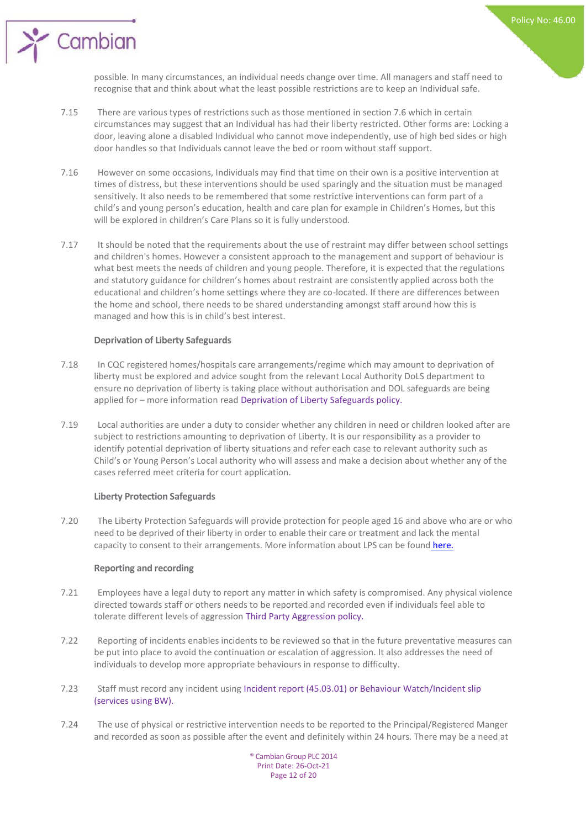Policy No: 46.00

possible. In many circumstances, an individual needs change over time. All managers and staff need to recognise that and think about what the least possible restrictions are to keep an Individual safe.

- 7.15 There are various types of restrictions such as those mentioned in section 7.6 which in certain circumstances may suggest that an Individual has had their liberty restricted. Other forms are: Locking a door, leaving alone a disabled Individual who cannot move independently, use of high bed sides or high door handles so that Individuals cannot leave the bed or room without staff support.
- 7.16 However on some occasions, Individuals may find that time on their own is a positive intervention at times of distress, but these interventions should be used sparingly and the situation must be managed sensitively. It also needs to be remembered that some restrictive interventions can form part of a child's and young person's education, health and care plan for example in Children's Homes, but this will be explored in children's Care Plans so it is fully understood.
- 7.17 It should be noted that the requirements about the use of restraint may differ between school settings and children's homes. However a consistent approach to the management and support of behaviour is what best meets the needs of children and young people. Therefore, it is expected that the regulations and statutory guidance for children's homes about restraint are consistently applied across both the educational and children's home settings where they are co-located. If there are differences between the home and school, there needs to be shared understanding amongst staff around how this is managed and how this is in child's best interest.

#### **Deprivation of Liberty Safeguards**

Cambian

- 7.18 In CQC registered homes/hospitals care arrangements/regime which may amount to deprivation of liberty must be explored and advice sought from the relevant Local Authority DoLS department to ensure no deprivation of liberty is taking place without authorisation and DOL safeguards are being applied for – more information read Deprivation of Liberty Safeguards policy.
- 7.19 Local authorities are under a duty to consider whether any children in need or children looked after are subject to restrictions amounting to deprivation of Liberty. It is our responsibility as a provider to identify potential deprivation of liberty situations and refer each case to relevant authority such as Child's or Young Person's Local authority who will assess and make a decision about whether any of the cases referred meet criteria for court application.

#### **Liberty Protection Safeguards**

7.20 The Liberty Protection Safeguards will provide protection for people aged 16 and above who are or who need to be deprived of their liberty in order to enable their care or treatment and lack the mental capacity to consent to their arrangements. More information about LPS can be found [here.](https://www.gov.uk/government/publications/liberty-protection-safeguards-factsheets/liberty-protection-safeguards-what-they-are)

#### **Reporting and recording**

- 7.21 Employees have a legal duty to report any matter in which safety is compromised. Any physical violence directed towards staff or others needs to be reported and recorded even if individuals feel able to tolerate different levels of aggression Third Party Aggression policy.
- 7.22 Reporting of incidents enables incidents to be reviewed so that in the future preventative measures can be put into place to avoid the continuation or escalation of aggression. It also addresses the need of individuals to develop more appropriate behaviours in response to difficulty.
- 7.23 Staff must record any incident using Incident report (45.03.01) or Behaviour Watch/Incident slip (services using BW).
- 7.24 The use of physical or restrictive intervention needs to be reported to the Principal/Registered Manger and recorded as soon as possible after the event and definitely within 24 hours. There may be a need at

® Cambian Group PLC 2014 Print Date: 26-Oct-21 Page 12 of 20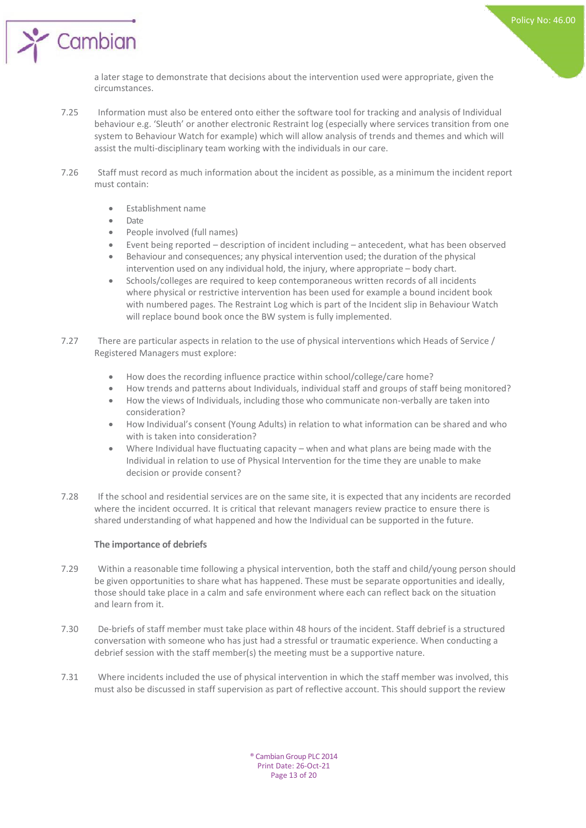a later stage to demonstrate that decisions about the intervention used were appropriate, given the circumstances.

- 7.25 Information must also be entered onto either the software tool for tracking and analysis of Individual behaviour e.g. 'Sleuth' or another electronic Restraint log (especially where services transition from one system to Behaviour Watch for example) which will allow analysis of trends and themes and which will assist the multi-disciplinary team working with the individuals in our care.
- 7.26 Staff must record as much information about the incident as possible, as a minimum the incident report must contain:
	- Establishment name
	- Date

Cambian

- People involved (full names)
- Event being reported description of incident including antecedent, what has been observed
- Behaviour and consequences; any physical intervention used; the duration of the physical intervention used on any individual hold, the injury, where appropriate – body chart.
- Schools/colleges are required to keep contemporaneous written records of all incidents where physical or restrictive intervention has been used for example a bound incident book with numbered pages. The Restraint Log which is part of the Incident slip in Behaviour Watch will replace bound book once the BW system is fully implemented.
- 7.27 There are particular aspects in relation to the use of physical interventions which Heads of Service / Registered Managers must explore:
	- How does the recording influence practice within school/college/care home?
	- How trends and patterns about Individuals, individual staff and groups of staff being monitored?
	- How the views of Individuals, including those who communicate non-verbally are taken into consideration?
	- How Individual's consent (Young Adults) in relation to what information can be shared and who with is taken into consideration?
	- Where Individual have fluctuating capacity when and what plans are being made with the Individual in relation to use of Physical Intervention for the time they are unable to make decision or provide consent?
- 7.28 If the school and residential services are on the same site, it is expected that any incidents are recorded where the incident occurred. It is critical that relevant managers review practice to ensure there is shared understanding of what happened and how the Individual can be supported in the future.

#### **The importance of debriefs**

- 7.29 Within a reasonable time following a physical intervention, both the staff and child/young person should be given opportunities to share what has happened. These must be separate opportunities and ideally, those should take place in a calm and safe environment where each can reflect back on the situation and learn from it.
- 7.30 De-briefs of staff member must take place within 48 hours of the incident. Staff debrief is a structured conversation with someone who has just had a stressful or traumatic experience. When conducting a debrief session with the staff member(s) the meeting must be a supportive nature.
- 7.31 Where incidents included the use of physical intervention in which the staff member was involved, this must also be discussed in staff supervision as part of reflective account. This should support the review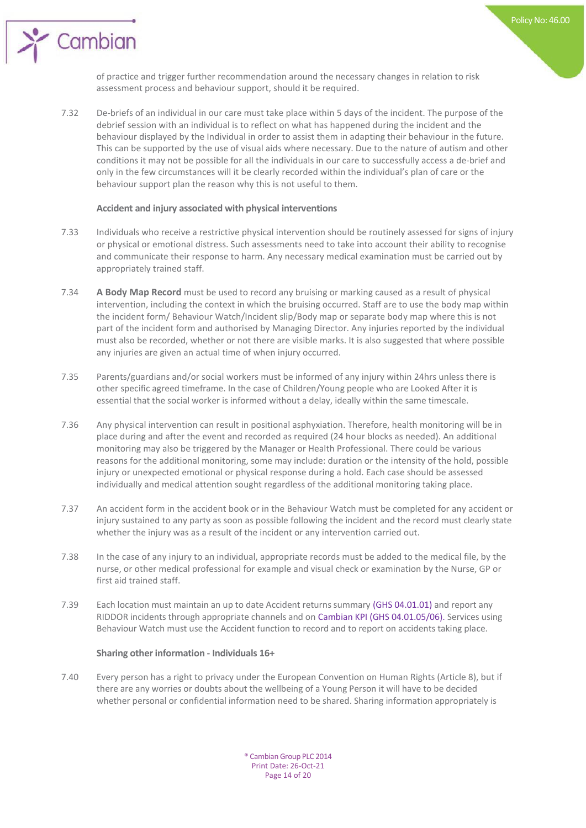

of practice and trigger further recommendation around the necessary changes in relation to risk assessment process and behaviour support, should it be required.

7.32 De-briefs of an individual in our care must take place within 5 days of the incident. The purpose of the debrief session with an individual is to reflect on what has happened during the incident and the behaviour displayed by the Individual in order to assist them in adapting their behaviour in the future. This can be supported by the use of visual aids where necessary. Due to the nature of autism and other conditions it may not be possible for all the individuals in our care to successfully access a de-brief and only in the few circumstances will it be clearly recorded within the individual's plan of care or the behaviour support plan the reason why this is not useful to them.

#### **Accident and injury associated with physical interventions**

Cambian

- 7.33 Individuals who receive a restrictive physical intervention should be routinely assessed for signs of injury or physical or emotional distress. Such assessments need to take into account their ability to recognise and communicate their response to harm. Any necessary medical examination must be carried out by appropriately trained staff.
- 7.34 **A Body Map Record** must be used to record any bruising or marking caused as a result of physical intervention, including the context in which the bruising occurred. Staff are to use the body map within the incident form/ Behaviour Watch/Incident slip/Body map or separate body map where this is not part of the incident form and authorised by Managing Director. Any injuries reported by the individual must also be recorded, whether or not there are visible marks. It is also suggested that where possible any injuries are given an actual time of when injury occurred.
- 7.35 Parents/guardians and/or social workers must be informed of any injury within 24hrs unless there is other specific agreed timeframe. In the case of Children/Young people who are Looked After it is essential that the social worker is informed without a delay, ideally within the same timescale.
- 7.36 Any physical intervention can result in positional asphyxiation. Therefore, health monitoring will be in place during and after the event and recorded as required (24 hour blocks as needed). An additional monitoring may also be triggered by the Manager or Health Professional. There could be various reasons for the additional monitoring, some may include: duration or the intensity of the hold, possible injury or unexpected emotional or physical response during a hold. Each case should be assessed individually and medical attention sought regardless of the additional monitoring taking place.
- 7.37 An accident form in the accident book or in the Behaviour Watch must be completed for any accident or injury sustained to any party as soon as possible following the incident and the record must clearly state whether the injury was as a result of the incident or any intervention carried out.
- 7.38 In the case of any injury to an individual, appropriate records must be added to the medical file, by the nurse, or other medical professional for example and visual check or examination by the Nurse, GP or first aid trained staff.
- 7.39 Each location must maintain an up to date Accident returns summary (GHS 04.01.01) and report any RIDDOR incidents through appropriate channels and on Cambian KPI (GHS 04.01.05/06). Services using Behaviour Watch must use the Accident function to record and to report on accidents taking place.

#### **Sharing other information - Individuals 16+**

7.40 Every person has a right to privacy under the European Convention on Human Rights (Article 8), but if there are any worries or doubts about the wellbeing of a Young Person it will have to be decided whether personal or confidential information need to be shared. Sharing information appropriately is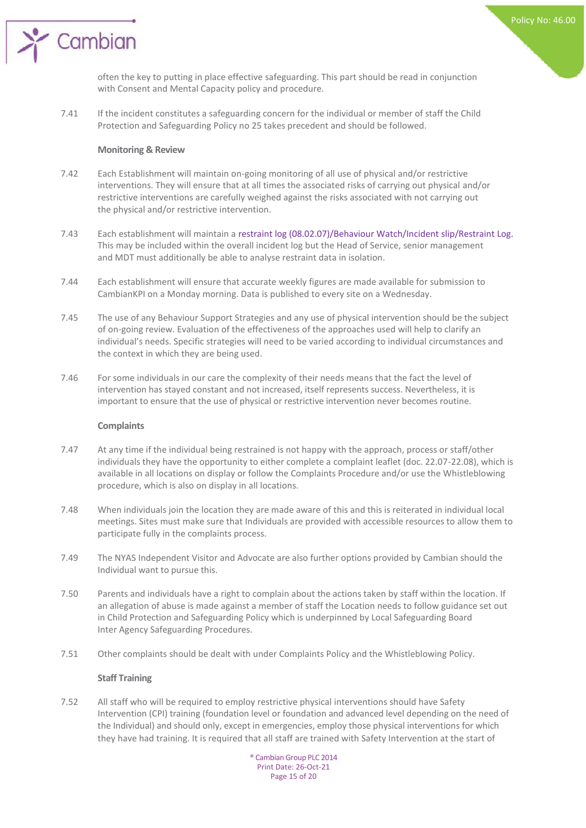

often the key to putting in place effective safeguarding. This part should be read in conjunction with Consent and Mental Capacity policy and procedure.

7.41 If the incident constitutes a safeguarding concern for the individual or member of staff the Child Protection and Safeguarding Policy no 25 takes precedent and should be followed.

#### **Monitoring & Review**

- 7.42 Each Establishment will maintain on-going monitoring of all use of physical and/or restrictive interventions. They will ensure that at all times the associated risks of carrying out physical and/or restrictive interventions are carefully weighed against the risks associated with not carrying out the physical and/or restrictive intervention.
- 7.43 Each establishment will maintain a restraint log (08.02.07)/Behaviour Watch/Incident slip/Restraint Log. This may be included within the overall incident log but the Head of Service, senior management and MDT must additionally be able to analyse restraint data in isolation.
- 7.44 Each establishment will ensure that accurate weekly figures are made available for submission to CambianKPI on a Monday morning. Data is published to every site on a Wednesday.
- 7.45 The use of any Behaviour Support Strategies and any use of physical intervention should be the subject of on-going review. Evaluation of the effectiveness of the approaches used will help to clarify an individual's needs. Specific strategies will need to be varied according to individual circumstances and the context in which they are being used.
- 7.46 For some individuals in our care the complexity of their needs means that the fact the level of intervention has stayed constant and not increased, itself represents success. Nevertheless, it is important to ensure that the use of physical or restrictive intervention never becomes routine.

#### **Complaints**

- 7.47 At any time if the individual being restrained is not happy with the approach, process or staff/other individuals they have the opportunity to either complete a complaint leaflet (doc. 22.07-22.08), which is available in all locations on display or follow the Complaints Procedure and/or use the Whistleblowing procedure, which is also on display in all locations.
- 7.48 When individuals join the location they are made aware of this and this is reiterated in individual local meetings. Sites must make sure that Individuals are provided with accessible resources to allow them to participate fully in the complaints process.
- 7.49 The NYAS Independent Visitor and Advocate are also further options provided by Cambian should the Individual want to pursue this.
- 7.50 Parents and individuals have a right to complain about the actions taken by staff within the location. If an allegation of abuse is made against a member of staff the Location needs to follow guidance set out in Child Protection and Safeguarding Policy which is underpinned by Local Safeguarding Board Inter Agency Safeguarding Procedures.
- 7.51 Other complaints should be dealt with under Complaints Policy and the Whistleblowing Policy.

#### **Staff Training**

7.52 All staff who will be required to employ restrictive physical interventions should have Safety Intervention (CPI) training (foundation level or foundation and advanced level depending on the need of the Individual) and should only, except in emergencies, employ those physical interventions for which they have had training. It is required that all staff are trained with Safety Intervention at the start of

® Cambian Group PLC 2014 Print Date: 26-Oct-21 Page 15 of 20

Policy No: 46.00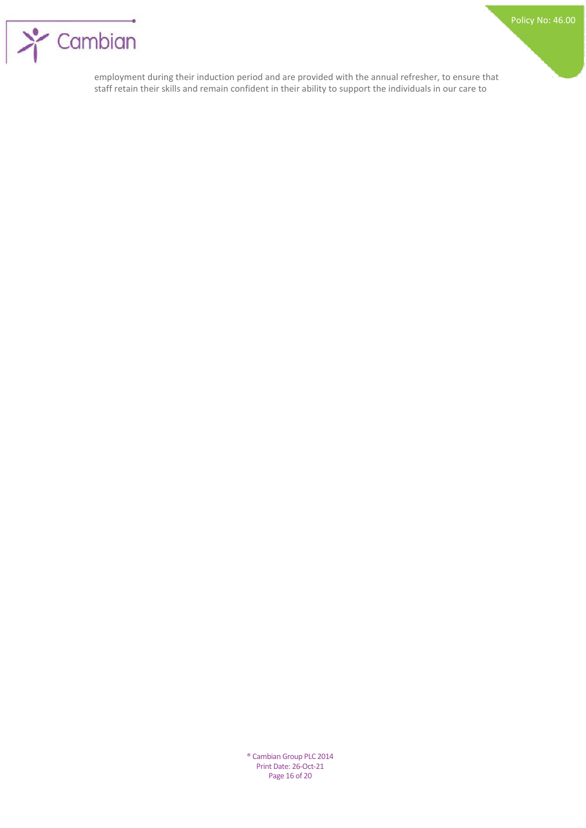

employment during their induction period and are provided with the annual refresher, to ensure that staff retain their skills and remain confident in their ability to support the individuals in our care to

> ® Cambian Group PLC 2014 Print Date: 26-Oct-21 Page 16 of 20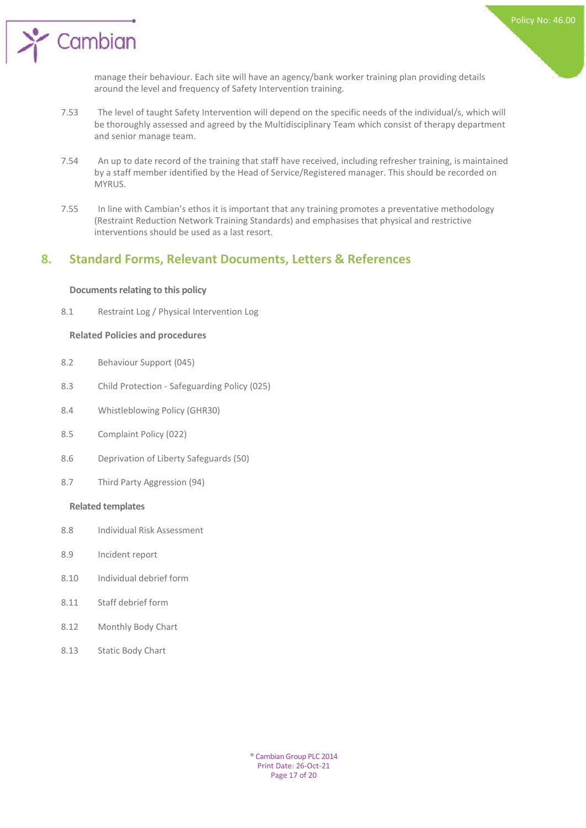

manage their behaviour. Each site will have an agency/bank worker training plan providing details around the level and frequency of Safety Intervention training.

- 7.53 The level of taught Safety Intervention will depend on the specific needs of the individual/s, which will be thoroughly assessed and agreed by the Multidisciplinary Team which consist of therapy department and senior manage team.
- 7.54 An up to date record of the training that staff have received, including refresher training, is maintained by a staff member identified by the Head of Service/Registered manager. This should be recorded on MYRUS.
- 7.55 In line with Cambian's ethos it is important that any training promotes a preventative methodology (Restraint Reduction Network Training Standards) and emphasises that physical and restrictive interventions should be used as a last resort.

## **8. Standard Forms, Relevant Documents, Letters & References**

#### **Documents relating to this policy**

 $\sum_{i=1}^{n}$  Cambian

8.1 Restraint Log / Physical Intervention Log

#### **Related Policies and procedures**

- 8.2 Behaviour Support (045)
- 8.3 Child Protection Safeguarding Policy (025)
- 8.4 Whistleblowing Policy (GHR30)
- 8.5 Complaint Policy (022)
- 8.6 Deprivation of Liberty Safeguards (50)
- 8.7 Third Party Aggression (94)

#### **Related templates**

- 8.8 Individual Risk Assessment
- 8.9 Incident report
- 8.10 Individual debrief form
- 8.11 Staff debrief form
- 8.12 Monthly Body Chart
- 8.13 Static Body Chart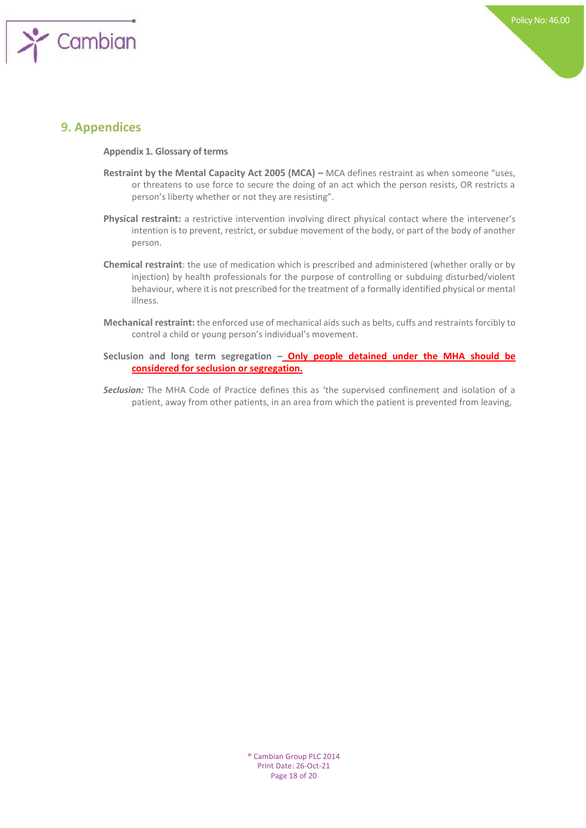

## **9. Appendices**

**Appendix 1. Glossary of terms**

- **Restraint by the Mental Capacity Act 2005 (MCA) MCA defines restraint as when someone "uses,** or threatens to use force to secure the doing of an act which the person resists, OR restricts a person's liberty whether or not they are resisting".
- **Physical restraint:** a restrictive intervention involving direct physical contact where the intervener's intention is to prevent, restrict, or subdue movement of the body, or part of the body of another person.
- **Chemical restraint**: the use of medication which is prescribed and administered (whether orally or by injection) by health professionals for the purpose of controlling or subduing disturbed/violent behaviour, where it is not prescribed for the treatment of a formally identified physical or mental illness.
- **Mechanical restraint:** the enforced use of mechanical aids such as belts, cuffs and restraints forcibly to control a child or young person's individual's movement.
- **Seclusion and long term segregation – Only people detained under the MHA should be considered for seclusion or segregation.**
- *Seclusion:* The MHA Code of Practice defines this as 'the supervised confinement and isolation of a patient, away from other patients, in an area from which the patient is prevented from leaving,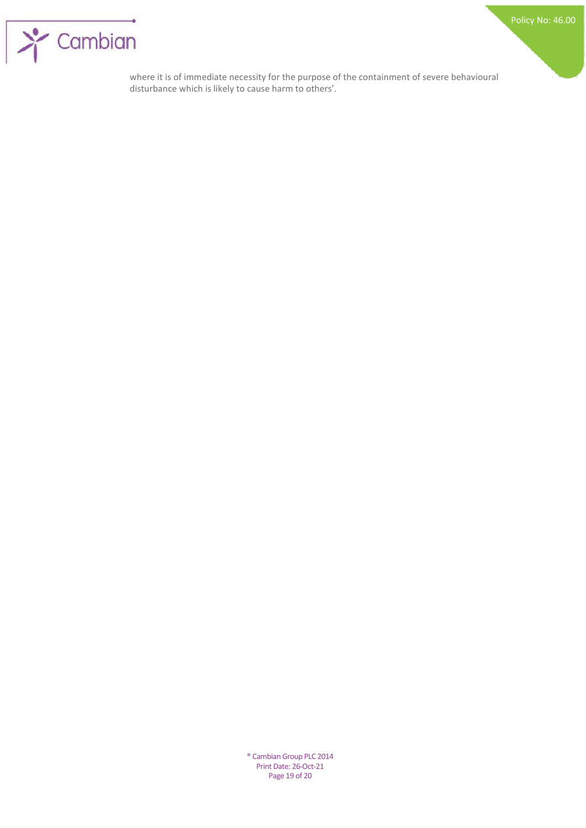

where it is of immediate necessity for the purpose of the containment of severe behavioural disturbance which is likely to cause harm to others'.

> ® Cambian Group PLC 2014 Print Date: 26-Oct-21 Page 19 of 20